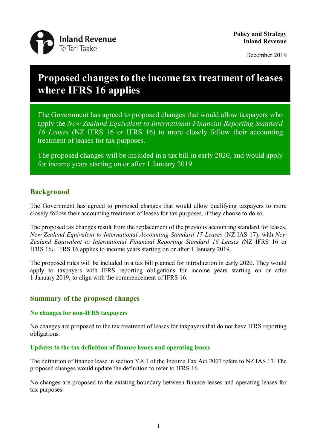

December 2019

# **Proposed changes to the income tax treatment of leases where IFRS 16 applies**

The Government has agreed to proposed changes that would allow taxpayers who apply the *New Zealand Equivalent to International Financial Reporting Standard 16 Leases* (NZ IFRS 16 or IFRS 16) to more closely follow their accounting treatment of leases for tax purposes.

The proposed changes will be included in a tax bill in early 2020, and would apply for income years starting on or after 1 January 2019.

## **Background**

The Government has agreed to proposed changes that would allow qualifying taxpayers to more closely follow their accounting treatment of leases for tax purposes, if they choose to do so.

The proposed tax changes result from the replacement of the previous accounting standard for leases, *New Zealand Equivalent to International Accounting Standard 17 Leases* (NZ IAS 17), with *New Zealand Equivalent to International Financial Reporting Standard 16 Leases (*NZ IFRS 16 or IFRS 16*).* IFRS 16 applies to income years starting on or after 1 January 2019.

The proposed rules will be included in a tax bill planned for introduction in early 2020. They would apply to taxpayers with IFRS reporting obligations for income years starting on or after 1 January 2019, to align with the commencement of IFRS 16.

## **Summary of the proposed changes**

## **No changes for non-IFRS taxpayers**

No changes are proposed to the tax treatment of leases for taxpayers that do not have IFRS reporting obligations.

## **Updates to the tax definition of finance leases and operating leases**

The definition of finance lease in section YA 1 of the Income Tax Act 2007 refers to NZ IAS 17. The proposed changes would update the definition to refer to IFRS 16.

No changes are proposed to the existing boundary between finance leases and operating leases for tax purposes.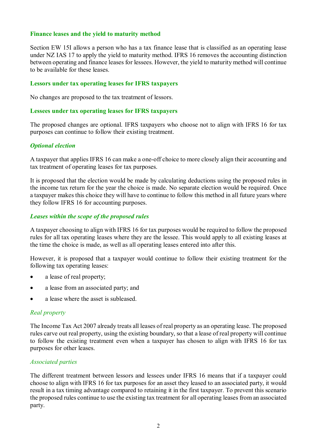## **Finance leases and the yield to maturity method**

Section EW 15I allows a person who has a tax finance lease that is classified as an operating lease under NZ IAS 17 to apply the yield to maturity method. IFRS 16 removes the accounting distinction between operating and finance leases for lessees. However, the yield to maturity method will continue to be available for these leases.

#### **Lessors under tax operating leases for IFRS taxpayers**

No changes are proposed to the tax treatment of lessors.

#### **Lessees under tax operating leases for IFRS taxpayers**

The proposed changes are optional. IFRS taxpayers who choose not to align with IFRS 16 for tax purposes can continue to follow their existing treatment.

#### *Optional election*

A taxpayer that applies IFRS 16 can make a one-off choice to more closely align their accounting and tax treatment of operating leases for tax purposes.

It is proposed that the election would be made by calculating deductions using the proposed rules in the income tax return for the year the choice is made. No separate election would be required. Once a taxpayer makes this choice they will have to continue to follow this method in all future years where they follow IFRS 16 for accounting purposes.

#### *Leases within the scope of the proposed rules*

A taxpayer choosing to align with IFRS 16 for tax purposes would be required to follow the proposed rules for all tax operating leases where they are the lessee. This would apply to all existing leases at the time the choice is made, as well as all operating leases entered into after this.

However, it is proposed that a taxpayer would continue to follow their existing treatment for the following tax operating leases:

- a lease of real property;
- a lease from an associated party; and
- a lease where the asset is subleased.

#### *Real property*

The Income Tax Act 2007 already treats all leases of real property as an operating lease. The proposed rules carve out real property, using the existing boundary, so that a lease of real property will continue to follow the existing treatment even when a taxpayer has chosen to align with IFRS 16 for tax purposes for other leases.

#### *Associated parties*

The different treatment between lessors and lessees under IFRS 16 means that if a taxpayer could choose to align with IFRS 16 for tax purposes for an asset they leased to an associated party, it would result in a tax timing advantage compared to retaining it in the first taxpayer. To prevent this scenario the proposed rules continue to use the existing tax treatment for all operating leases from an associated party.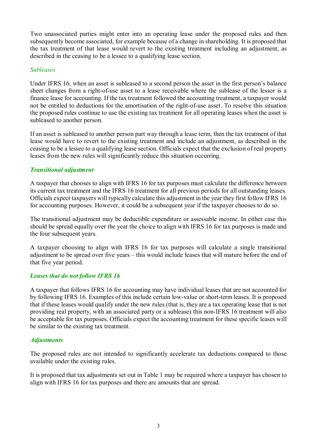Two unassociated parties might enter into an operating lease under the proposed rules and then subsequently become associated, for example because of a change in shareholding. It is proposed that the tax treatment of that lease would revert to the existing treatment including an adjustment, as described in the ceasing to be a lessee to a qualifying lease section.

#### *Subleases*

Under IFRS 16, when an asset is subleased to a second person the asset in the first person's balance sheet changes from a right-of-use asset to a lease receivable where the sublease of the lessor is a finance lease for accounting. If the tax treatment followed the accounting treatment, a taxpayer would not be entitled to deductions for the amortisation of the right-of-use asset. To resolve this situation the proposed rules continue to use the existing tax treatment for all operating leases when the asset is subleased to another person.

If an asset is subleased to another person part way through a lease term, then the tax treatment of that lease would have to revert to the existing treatment and include an adjustment, as described in the ceasing to be a lessee to a qualifying lease section. Officials expect that the exclusion of real property leases from the new rules will significantly reduce this situation occurring.

## *Transitional adjustment*

A taxpayer that chooses to align with IFRS 16 for tax purposes must calculate the difference between its current tax treatment and the IFRS 16 treatment for all previous periods for all outstanding leases. Officials expect taxpayers will typically calculate this adjustment in the year they first follow IFRS 16 for accounting purposes. However, it could be a subsequent year if the taxpayer chooses to do so.

The transitional adjustment may be deductible expenditure or assessable income. In either case this should be spread equally over the year the choice to align with IFRS 16 for tax purposes is made and the four subsequent years.

A taxpayer choosing to align with IFRS 16 for tax purposes will calculate a single transitional adjustment to be spread over five years – this would include leases that will mature before the end of that five year period.

## *Leases that do not follow IFRS 16*

A taxpayer that follows IFRS 16 for accounting may have individual leases that are not accounted for by following IFRS 16. Examples of this include certain low-value or short-term leases. It is proposed that if these leases would qualify under the new rules (that is, they are a tax operating lease that is not providing real property, with an associated party or a sublease) this non-IFRS 16 treatment will also be acceptable for tax purposes. Officials expect the accounting treatment for these specific leases will be similar to the existing tax treatment.

## *Adjustments*

The proposed rules are not intended to significantly accelerate tax deductions compared to those available under the existing rules.

It is proposed that tax adjustments set out in Table 1 may be required where a taxpayer has chosen to align with IFRS 16 for tax purposes and there are amounts that are spread.